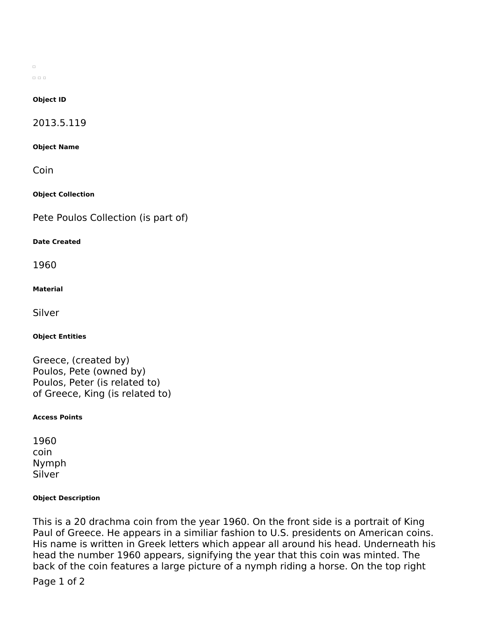$\Box$  $\begin{array}{ccc} \square & \square & \square \end{array}$ 

## **Object ID**

2013.5.119

#### **Object Name**

Coin

**Object Collection**

Pete Poulos Collection (is part of)

#### **Date Created**

1960

#### **Material**

Silver

## **Object Entities**

Greece, (created by) Poulos, Pete (owned by) Poulos, Peter (is related to) of Greece, King (is related to)

## **Access Points**

1960 coin Nymph Silver

## **Object Description**

This is a 20 drachma coin from the year 1960. On the front side is a portrait of King Paul of Greece. He appears in a similiar fashion to U.S. presidents on American coins. His name is written in Greek letters which appear all around his head. Underneath his head the number 1960 appears, signifying the year that this coin was minted. The back of the coin features a large picture of a nymph riding a horse. On the top right

Page 1 of 2